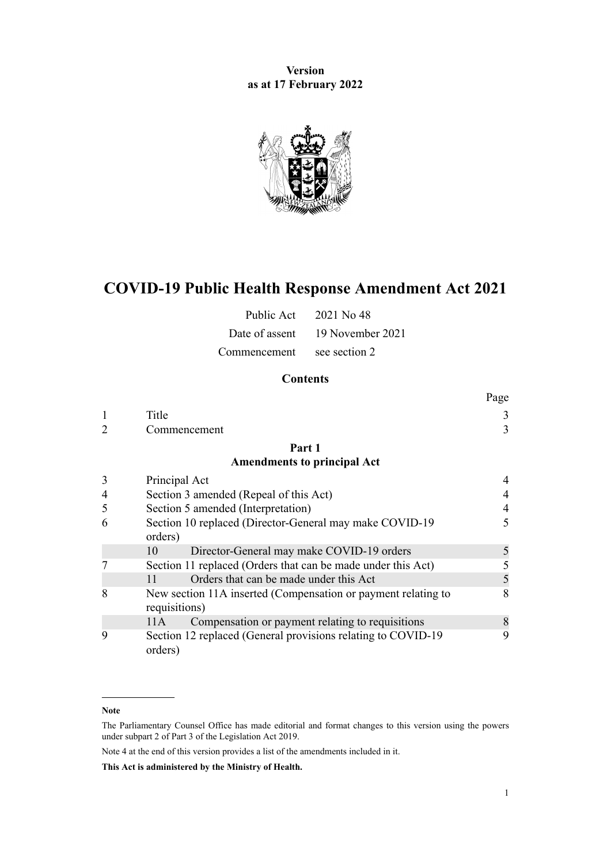## **Version as at 17 February 2022**



# **COVID-19 Public Health Response Amendment Act 2021**

|                            | Public Act $2021$ No 48         |
|----------------------------|---------------------------------|
|                            | Date of assent 19 November 2021 |
| Commencement see section 2 |                                 |

## **Contents**

|   |                                                                                | Page |
|---|--------------------------------------------------------------------------------|------|
| 1 | Title                                                                          | 3    |
|   | Commencement                                                                   | 3    |
|   | Part 1                                                                         |      |
|   | <b>Amendments to principal Act</b>                                             |      |
| 3 | Principal Act                                                                  |      |
| 4 | Section 3 amended (Repeal of this Act)                                         |      |
| 5 | Section 5 amended (Interpretation)                                             | 4    |
| 6 | Section 10 replaced (Director-General may make COVID-19<br>orders)             | 5    |
|   | Director-General may make COVID-19 orders<br>10                                | 5    |
|   | Section 11 replaced (Orders that can be made under this Act)                   | 5    |
|   | Orders that can be made under this Act<br>11                                   | 5    |
| 8 | New section 11A inserted (Compensation or payment relating to<br>requisitions) | 8    |
|   | Compensation or payment relating to requisitions<br>11A                        | 8    |
| 9 | Section 12 replaced (General provisions relating to COVID-19<br>orders)        | 9    |

#### **Note**

Note 4 at the end of this version provides a list of the amendments included in it.

**This Act is administered by the Ministry of Health.**

The Parliamentary Counsel Office has made editorial and format changes to this version using the powers under [subpart 2](http://legislation.govt.nz/pdflink.aspx?id=DLM7298371) of Part 3 of the Legislation Act 2019.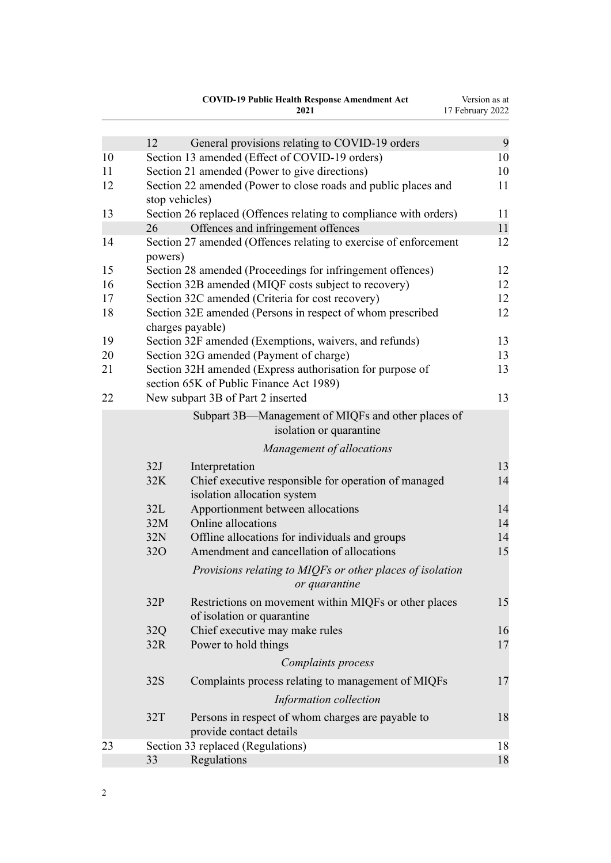|          |            | <b>COVID-19 Public Health Response Amendment Act</b>                                                 | Version as at    |
|----------|------------|------------------------------------------------------------------------------------------------------|------------------|
|          |            | 2021                                                                                                 | 17 February 2022 |
|          |            |                                                                                                      |                  |
|          | 12         | General provisions relating to COVID-19 orders                                                       | 9<br>10          |
| 10<br>11 |            | Section 13 amended (Effect of COVID-19 orders)<br>Section 21 amended (Power to give directions)      | 10               |
| 12       |            | Section 22 amended (Power to close roads and public places and                                       | 11               |
|          |            | stop vehicles)                                                                                       |                  |
| 13       |            | Section 26 replaced (Offences relating to compliance with orders)                                    | 11               |
|          | 26         | Offences and infringement offences                                                                   | 11               |
| 14       | powers)    | Section 27 amended (Offences relating to exercise of enforcement                                     | 12               |
| 15       |            | Section 28 amended (Proceedings for infringement offences)                                           | 12               |
| 16       |            | Section 32B amended (MIQF costs subject to recovery)                                                 | 12               |
| 17       |            | Section 32C amended (Criteria for cost recovery)                                                     | 12               |
| 18       |            | Section 32E amended (Persons in respect of whom prescribed<br>charges payable)                       | 12               |
| 19       |            | Section 32F amended (Exemptions, waivers, and refunds)                                               | 13               |
| 20       |            | Section 32G amended (Payment of charge)                                                              | 13               |
| 21       |            | Section 32H amended (Express authorisation for purpose of<br>section 65K of Public Finance Act 1989) | 13               |
| 22       |            | New subpart 3B of Part 2 inserted                                                                    | 13               |
|          |            | Subpart 3B-Management of MIQFs and other places of                                                   |                  |
|          |            | isolation or quarantine                                                                              |                  |
|          |            | Management of allocations                                                                            |                  |
|          | 32J        | Interpretation                                                                                       | 13               |
|          | 32K        | Chief executive responsible for operation of managed<br>isolation allocation system                  | 14               |
|          | 32L        | Apportionment between allocations                                                                    | 14               |
|          | 32M        | Online allocations                                                                                   | 14               |
|          | 32N        | Offline allocations for individuals and groups                                                       | 14               |
|          | <b>320</b> | Amendment and cancellation of allocations                                                            | 15               |
|          |            | Provisions relating to MIQFs or other places of isolation<br>or quarantine                           |                  |
|          | 32P        | Restrictions on movement within MIQFs or other places<br>of isolation or quarantine                  | 15               |
|          | 32Q        | Chief executive may make rules                                                                       | 16               |
|          | 32R        | Power to hold things                                                                                 | 17               |
|          |            | Complaints process                                                                                   |                  |
|          | 32S        | Complaints process relating to management of MIQFs                                                   | 17               |
|          |            | Information collection                                                                               |                  |
|          | 32T        | Persons in respect of whom charges are payable to<br>provide contact details                         | 18               |
| 23       |            | Section 33 replaced (Regulations)                                                                    | 18               |
|          | 33         | Regulations                                                                                          | 18               |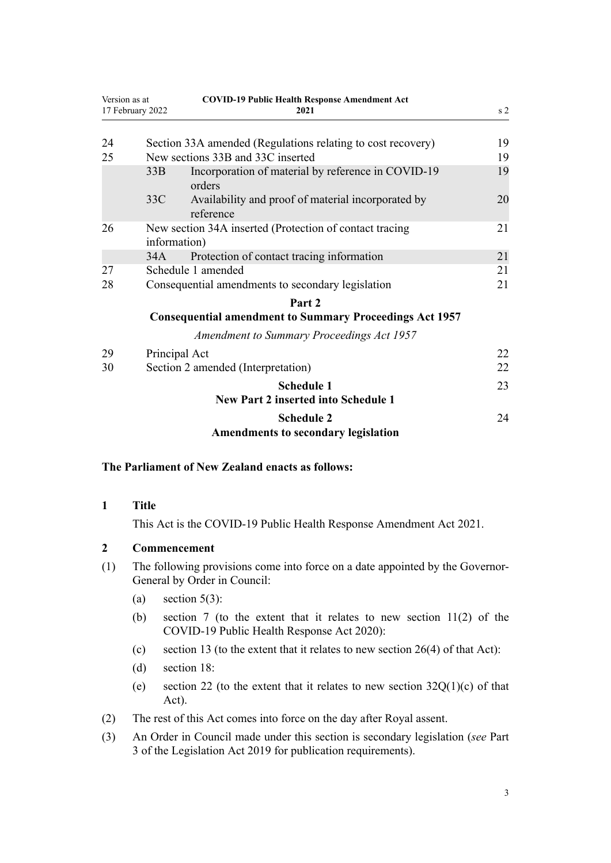<span id="page-2-0"></span>

| Version as at<br>17 February 2022 |               | <b>COVID-19 Public Health Response Amendment Act</b><br>2021    | s <sub>2</sub> |
|-----------------------------------|---------------|-----------------------------------------------------------------|----------------|
|                                   |               |                                                                 |                |
| 24                                |               | Section 33A amended (Regulations relating to cost recovery)     | 19             |
| 25                                |               | New sections 33B and 33C inserted                               | 19             |
|                                   | 33B           | Incorporation of material by reference in COVID-19<br>orders    | 19             |
|                                   | 33C           | Availability and proof of material incorporated by<br>reference | 20             |
| 26                                | information)  | New section 34A inserted (Protection of contact tracing         | 21             |
|                                   | 34A           | Protection of contact tracing information                       | 21             |
| 27                                |               | Schedule 1 amended                                              | 21             |
| 28                                |               | Consequential amendments to secondary legislation               | 21             |
|                                   |               | Part 2                                                          |                |
|                                   |               | <b>Consequential amendment to Summary Proceedings Act 1957</b>  |                |
|                                   |               | <b>Amendment to Summary Proceedings Act 1957</b>                |                |
| 29                                | Principal Act |                                                                 | 22             |
| 30                                |               | Section 2 amended (Interpretation)                              | 22             |
|                                   |               | <b>Schedule 1</b>                                               | 23             |
|                                   |               | <b>New Part 2 inserted into Schedule 1</b>                      |                |
|                                   |               | <b>Schedule 2</b>                                               | 24             |
|                                   |               | <b>Amendments to secondary legislation</b>                      |                |

## **The Parliament of New Zealand enacts as follows:**

#### **1 Title**

This Act is the COVID-19 Public Health Response Amendment Act 2021.

#### **2 Commencement**

- (1) The following provisions come into force on a date appointed by the Governor-General by Order in Council:
	- (a) section  $5(3)$ :
	- (b) [section 7](#page-4-0) (to the extent that it relates to new section 11(2) of the COVID-19 Public Health Response Act 2020):
	- (c) [section 13](#page-10-0) (to the extent that it relates to new section  $26(4)$  of that Act):
	- (d) [section 18](#page-11-0):
	- (e) [section 22](#page-12-0) (to the extent that it relates to new section  $32Q(1)(c)$  of that Act).
- (2) The rest of this Act comes into force on the day after Royal assent.
- (3) An Order in Council made under this section is secondary legislation (*see* [Part](http://legislation.govt.nz/pdflink.aspx?id=DLM7298343) [3](http://legislation.govt.nz/pdflink.aspx?id=DLM7298343) of the Legislation Act 2019 for publication requirements).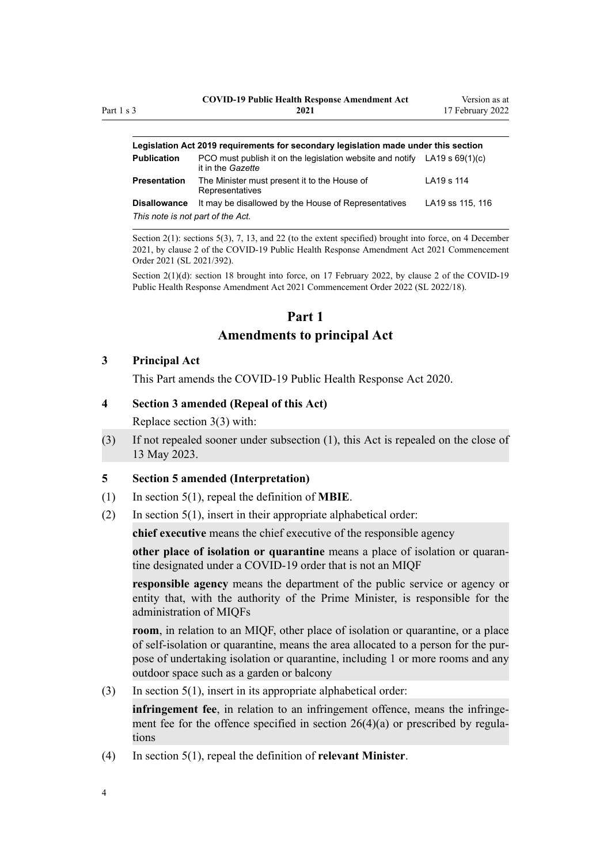<span id="page-3-0"></span>

| Legislation Act 2019 reguirements for secondary legislation made under this section |                                                                             |
|-------------------------------------------------------------------------------------|-----------------------------------------------------------------------------|
| it in the Gazette                                                                   |                                                                             |
| The Minister must present it to the House of<br>Representatives                     | LA19 s 114                                                                  |
| It may be disallowed by the House of Representatives                                | LA19 ss 115, 116                                                            |
| This note is not part of the Act.                                                   |                                                                             |
|                                                                                     | PCO must publish it on the legislation website and notify $LA19 s 69(1)(c)$ |

Section 2(1): sections 5(3), 7, 13, and 22 (to the extent specified) brought into force, on 4 December 2021, by [clause 2](http://legislation.govt.nz/pdflink.aspx?id=LMS600794) of the COVID-19 Public Health Response Amendment Act 2021 Commencement Order 2021 (SL 2021/392).

Section 2(1)(d): section 18 brought into force, on 17 February 2022, by [clause 2](http://legislation.govt.nz/pdflink.aspx?id=LMS639471) of the COVID-19 Public Health Response Amendment Act 2021 Commencement Order 2022 (SL 2022/18).

# **Part 1**

## **Amendments to principal Act**

## **3 Principal Act**

This Part amends the [COVID-19 Public Health Response Act 2020.](http://legislation.govt.nz/pdflink.aspx?id=LMS344121)

## **4 Section 3 amended (Repeal of this Act)**

Replace [section 3\(3\)](http://legislation.govt.nz/pdflink.aspx?id=LMS344600) with:

(3) If not repealed sooner under subsection (1), this Act is repealed on the close of 13 May 2023.

## **5 Section 5 amended (Interpretation)**

- (1) In [section 5\(1\)](http://legislation.govt.nz/pdflink.aspx?id=LMS344170), repeal the definition of **MBIE**.
- (2) In [section 5\(1\)](http://legislation.govt.nz/pdflink.aspx?id=LMS344170), insert in their appropriate alphabetical order:

**chief executive** means the chief executive of the responsible agency

**other place of isolation or quarantine** means a place of isolation or quaran‐ tine designated under a COVID-19 order that is not an MIQF

**responsible agency** means the department of the public service or agency or entity that, with the authority of the Prime Minister, is responsible for the administration of MIQFs

**room**, in relation to an MIQF, other place of isolation or quarantine, or a place of self-isolation or quarantine, means the area allocated to a person for the pur‐ pose of undertaking isolation or quarantine, including 1 or more rooms and any outdoor space such as a garden or balcony

(3) In [section 5\(1\)](http://legislation.govt.nz/pdflink.aspx?id=LMS344170), insert in its appropriate alphabetical order:

**infringement fee**, in relation to an infringement offence, means the infringement fee for the offence specified in section  $26(4)(a)$  or prescribed by regulations

(4) In [section 5\(1\)](http://legislation.govt.nz/pdflink.aspx?id=LMS344170), repeal the definition of **relevant Minister**.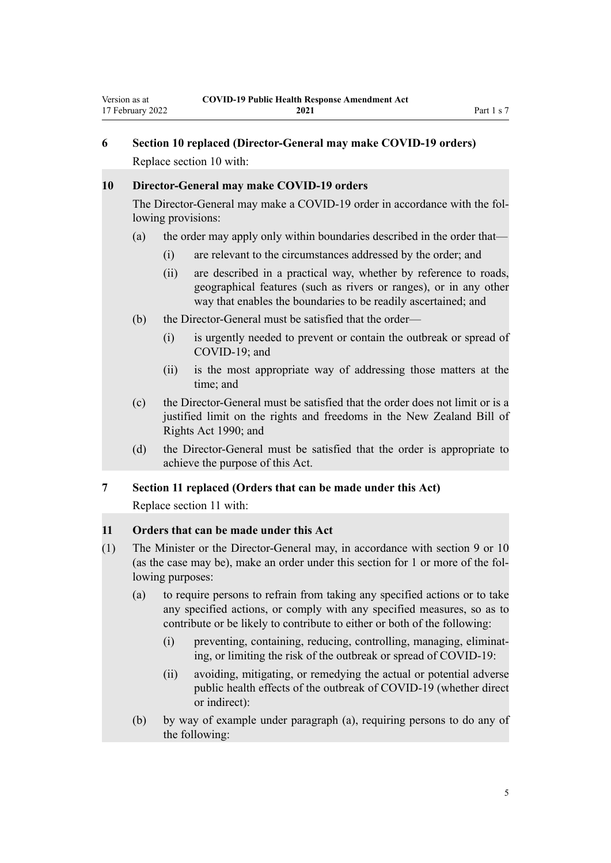## <span id="page-4-0"></span>**6 Section 10 replaced (Director-General may make COVID-19 orders)** Replace [section 10](http://legislation.govt.nz/pdflink.aspx?id=LMS344176) with:

#### **10 Director-General may make COVID-19 orders**

The Director-General may make a COVID-19 order in accordance with the fol‐ lowing provisions:

- (a) the order may apply only within boundaries described in the order that—
	- (i) are relevant to the circumstances addressed by the order; and
	- (ii) are described in a practical way, whether by reference to roads, geographical features (such as rivers or ranges), or in any other way that enables the boundaries to be readily ascertained; and
- (b) the Director-General must be satisfied that the order—
	- (i) is urgently needed to prevent or contain the outbreak or spread of COVID-19; and
	- (ii) is the most appropriate way of addressing those matters at the time; and
- (c) the Director-General must be satisfied that the order does not limit or is a justified limit on the rights and freedoms in the New Zealand Bill of Rights Act 1990; and
- (d) the Director-General must be satisfied that the order is appropriate to achieve the purpose of this Act.

#### **7 Section 11 replaced (Orders that can be made under this Act)**

Replace [section 11](http://legislation.govt.nz/pdflink.aspx?id=LMS344177) with:

#### **11 Orders that can be made under this Act**

- (1) The Minister or the Director-General may, in accordance with section 9 or 10 (as the case may be), make an order under this section for 1 or more of the fol‐ lowing purposes:
	- (a) to require persons to refrain from taking any specified actions or to take any specified actions, or comply with any specified measures, so as to contribute or be likely to contribute to either or both of the following:
		- (i) preventing, containing, reducing, controlling, managing, eliminat‐ ing, or limiting the risk of the outbreak or spread of COVID-19:
		- (ii) avoiding, mitigating, or remedying the actual or potential adverse public health effects of the outbreak of COVID-19 (whether direct or indirect):
	- (b) by way of example under paragraph (a), requiring persons to do any of the following: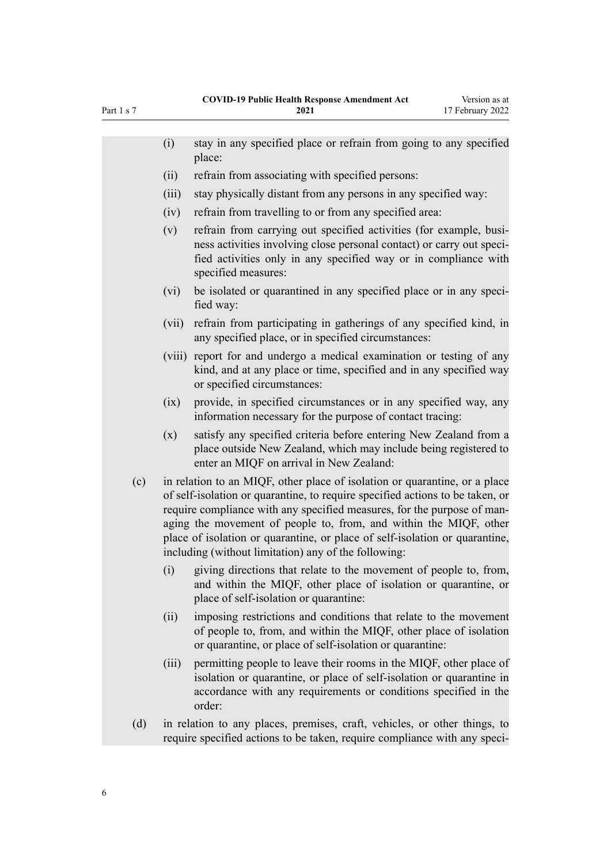|     | (i)    | stay in any specified place or refrain from going to any specified                                                                                                                                                                                                                                                                                                                                                                                 |
|-----|--------|----------------------------------------------------------------------------------------------------------------------------------------------------------------------------------------------------------------------------------------------------------------------------------------------------------------------------------------------------------------------------------------------------------------------------------------------------|
|     |        | place:                                                                                                                                                                                                                                                                                                                                                                                                                                             |
|     | (ii)   | refrain from associating with specified persons:                                                                                                                                                                                                                                                                                                                                                                                                   |
|     | (iii)  | stay physically distant from any persons in any specified way:                                                                                                                                                                                                                                                                                                                                                                                     |
|     | (iv)   | refrain from travelling to or from any specified area:                                                                                                                                                                                                                                                                                                                                                                                             |
|     | (v)    | refrain from carrying out specified activities (for example, busi-<br>ness activities involving close personal contact) or carry out speci-<br>fied activities only in any specified way or in compliance with<br>specified measures:                                                                                                                                                                                                              |
|     | (vi)   | be isolated or quarantined in any specified place or in any speci-<br>fied way:                                                                                                                                                                                                                                                                                                                                                                    |
|     | (vii)  | refrain from participating in gatherings of any specified kind, in<br>any specified place, or in specified circumstances:                                                                                                                                                                                                                                                                                                                          |
|     | (viii) | report for and undergo a medical examination or testing of any<br>kind, and at any place or time, specified and in any specified way<br>or specified circumstances:                                                                                                                                                                                                                                                                                |
|     | (ix)   | provide, in specified circumstances or in any specified way, any<br>information necessary for the purpose of contact tracing:                                                                                                                                                                                                                                                                                                                      |
|     | (x)    | satisfy any specified criteria before entering New Zealand from a<br>place outside New Zealand, which may include being registered to<br>enter an MIQF on arrival in New Zealand:                                                                                                                                                                                                                                                                  |
| (c) |        | in relation to an MIQF, other place of isolation or quarantine, or a place<br>of self-isolation or quarantine, to require specified actions to be taken, or<br>require compliance with any specified measures, for the purpose of man-<br>aging the movement of people to, from, and within the MIQF, other<br>place of isolation or quarantine, or place of self-isolation or quarantine,<br>including (without limitation) any of the following: |
|     | (i)    | giving directions that relate to the movement of people to, from,<br>and within the MIQF, other place of isolation or quarantine, or<br>place of self-isolation or quarantine:                                                                                                                                                                                                                                                                     |
|     | (ii)   | imposing restrictions and conditions that relate to the movement<br>of people to, from, and within the MIQF, other place of isolation<br>or quarantine, or place of self-isolation or quarantine:                                                                                                                                                                                                                                                  |
|     | (iii)  | permitting people to leave their rooms in the MIQF, other place of<br>isolation or quarantine, or place of self-isolation or quarantine in<br>accordance with any requirements or conditions specified in the<br>order:                                                                                                                                                                                                                            |
| (d) |        | in relation to any places, premises, craft, vehicles, or other things, to<br>require specified actions to be taken, require compliance with any speci-                                                                                                                                                                                                                                                                                             |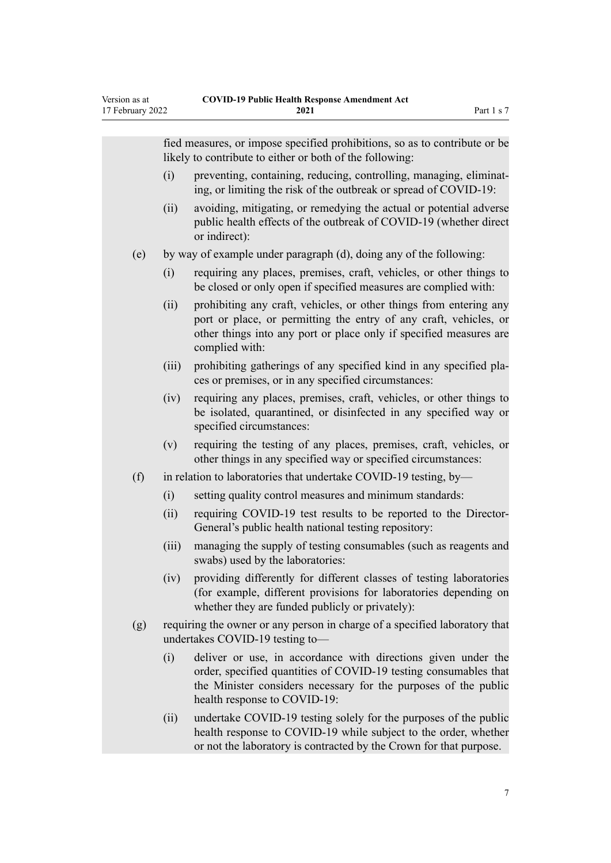|      | fied measures, or impose specified prohibitions, so as to contribute or be<br>likely to contribute to either or both of the following:                                                                                               |
|------|--------------------------------------------------------------------------------------------------------------------------------------------------------------------------------------------------------------------------------------|
| (i)  | preventing, containing, reducing, controlling, managing, eliminat-<br>ing, or limiting the risk of the outbreak or spread of COVID-19:                                                                                               |
| (ii) | avoiding, mitigating, or remedying the actual or potential adverse<br>public health effects of the outbreak of COVID-19 (whether direct<br>or indirect):                                                                             |
| (e)  | by way of example under paragraph (d), doing any of the following:                                                                                                                                                                   |
| (i)  | requiring any places, premises, craft, vehicles, or other things to<br>be closed or only open if specified measures are complied with:                                                                                               |
| (ii) | prohibiting any craft, vehicles, or other things from entering any<br>port or place, or permitting the entry of any craft, vehicles, or<br>other things into any port or place only if specified measures are<br>complied with:      |
|      | prohibiting gatherings of any specified kind in any specified pla-<br>(iii)<br>ces or premises, or in any specified circumstances:                                                                                                   |
|      | requiring any places, premises, craft, vehicles, or other things to<br>(iv)<br>be isolated, quarantined, or disinfected in any specified way or<br>specified circumstances:                                                          |
| (v)  | requiring the testing of any places, premises, craft, vehicles, or<br>other things in any specified way or specified circumstances:                                                                                                  |
| (f)  | in relation to laboratories that undertake COVID-19 testing, by-                                                                                                                                                                     |
| (i)  | setting quality control measures and minimum standards:                                                                                                                                                                              |
| (ii) | requiring COVID-19 test results to be reported to the Director-<br>General's public health national testing repository:                                                                                                              |
|      | (iii)<br>managing the supply of testing consumables (such as reagents and<br>swabs) used by the laboratories:                                                                                                                        |
|      | providing differently for different classes of testing laboratories<br>(iv)<br>(for example, different provisions for laboratories depending on<br>whether they are funded publicly or privately):                                   |
| (g)  | requiring the owner or any person in charge of a specified laboratory that<br>undertakes COVID-19 testing to-                                                                                                                        |
| (i)  | deliver or use, in accordance with directions given under the<br>order, specified quantities of COVID-19 testing consumables that<br>the Minister considers necessary for the purposes of the public<br>health response to COVID-19: |
|      | undertake COVID 10 testing solely for the nurness of the public<br>$\lim$                                                                                                                                                            |

(ii) undertake COVID-19 testing solely for the purposes of the public health response to COVID-19 while subject to the order, whether or not the laboratory is contracted by the Crown for that purpose.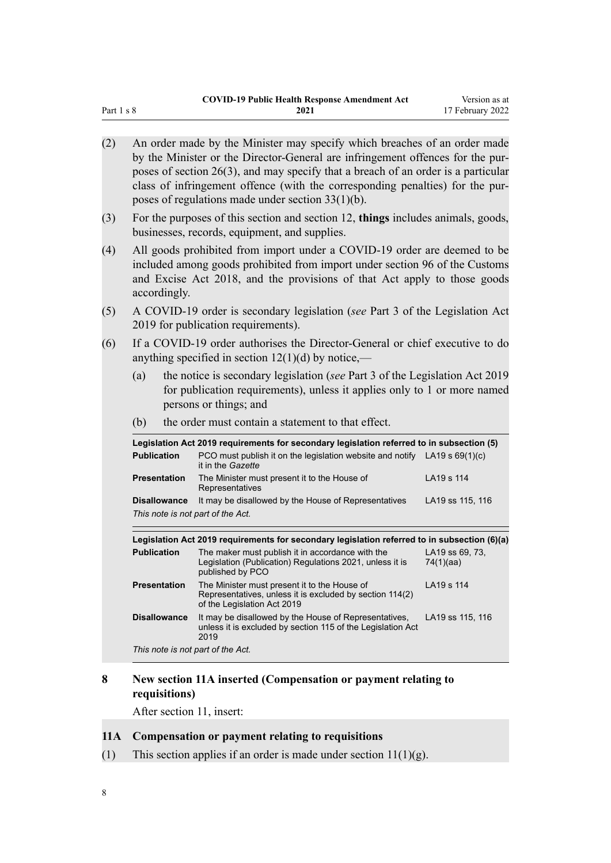<span id="page-7-0"></span>

| (2) | An order made by the Minister may specify which breaches of an order made<br>by the Minister or the Director-General are infringement offences for the pur-<br>poses of section 26(3), and may specify that a breach of an order is a particular<br>class of infringement offence (with the corresponding penalties) for the pur-<br>poses of regulations made under section $33(1)(b)$ . |                                                                                                                                                                                                                                     |                              |  |  |
|-----|-------------------------------------------------------------------------------------------------------------------------------------------------------------------------------------------------------------------------------------------------------------------------------------------------------------------------------------------------------------------------------------------|-------------------------------------------------------------------------------------------------------------------------------------------------------------------------------------------------------------------------------------|------------------------------|--|--|
| (3) | For the purposes of this section and section 12, things includes animals, goods,<br>businesses, records, equipment, and supplies.                                                                                                                                                                                                                                                         |                                                                                                                                                                                                                                     |                              |  |  |
| (4) | accordingly.                                                                                                                                                                                                                                                                                                                                                                              | All goods prohibited from import under a COVID-19 order are deemed to be<br>included among goods prohibited from import under section 96 of the Customs<br>and Excise Act 2018, and the provisions of that Act apply to those goods |                              |  |  |
| (5) |                                                                                                                                                                                                                                                                                                                                                                                           | A COVID-19 order is secondary legislation (see Part 3 of the Legislation Act<br>2019 for publication requirements).                                                                                                                 |                              |  |  |
| (6) |                                                                                                                                                                                                                                                                                                                                                                                           | If a COVID-19 order authorises the Director-General or chief executive to do<br>anything specified in section $12(1)(d)$ by notice,—                                                                                                |                              |  |  |
|     | (a)                                                                                                                                                                                                                                                                                                                                                                                       | the notice is secondary legislation (see Part 3 of the Legislation Act 2019<br>for publication requirements), unless it applies only to 1 or more named<br>persons or things; and                                                   |                              |  |  |
|     | the order must contain a statement to that effect.<br>(b)                                                                                                                                                                                                                                                                                                                                 |                                                                                                                                                                                                                                     |                              |  |  |
|     |                                                                                                                                                                                                                                                                                                                                                                                           | Legislation Act 2019 requirements for secondary legislation referred to in subsection (5)                                                                                                                                           |                              |  |  |
|     | <b>Publication</b>                                                                                                                                                                                                                                                                                                                                                                        | PCO must publish it on the legislation website and notify $LA19 s 69(1)(c)$<br>it in the Gazette                                                                                                                                    |                              |  |  |
|     | <b>Presentation</b>                                                                                                                                                                                                                                                                                                                                                                       | The Minister must present it to the House of<br>Representatives                                                                                                                                                                     | LA19 s 114                   |  |  |
|     | <b>Disallowance</b><br>This note is not part of the Act.                                                                                                                                                                                                                                                                                                                                  | It may be disallowed by the House of Representatives                                                                                                                                                                                | LA19 ss 115, 116             |  |  |
|     |                                                                                                                                                                                                                                                                                                                                                                                           | Legislation Act 2019 requirements for secondary legislation referred to in subsection (6)(a)                                                                                                                                        |                              |  |  |
|     | <b>Publication</b>                                                                                                                                                                                                                                                                                                                                                                        | The maker must publish it in accordance with the<br>Legislation (Publication) Regulations 2021, unless it is<br>published by PCO                                                                                                    | LA19 ss 69, 73,<br>74(1)(aa) |  |  |
|     | <b>Presentation</b>                                                                                                                                                                                                                                                                                                                                                                       | The Minister must present it to the House of<br>Representatives, unless it is excluded by section 114(2)<br>of the Legislation Act 2019                                                                                             | LA19 s 114                   |  |  |
|     | <b>Disallowance</b>                                                                                                                                                                                                                                                                                                                                                                       | It may be disallowed by the House of Representatives,<br>unless it is excluded by section 115 of the Legislation Act<br>2019                                                                                                        | LA19 ss 115, 116             |  |  |
|     | This note is not part of the Act.                                                                                                                                                                                                                                                                                                                                                         |                                                                                                                                                                                                                                     |                              |  |  |

## **8 New section 11A inserted (Compensation or payment relating to requisitions)**

After [section 11,](http://legislation.govt.nz/pdflink.aspx?id=LMS344177) insert:

## **11A Compensation or payment relating to requisitions**

(1) This section applies if an order is made under section  $11(1)(g)$ .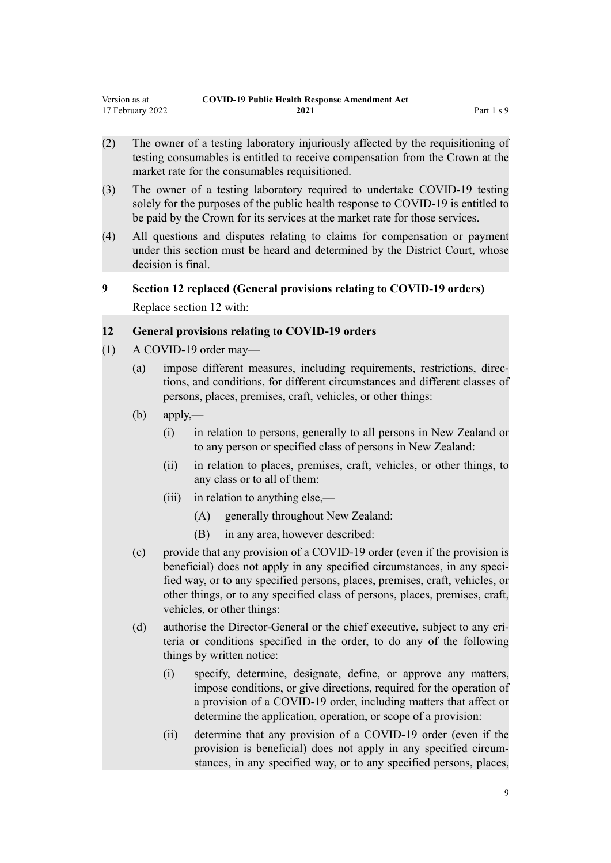- <span id="page-8-0"></span>testing consumables is entitled to receive compensation from the Crown at the market rate for the consumables requisitioned.
- (3) The owner of a testing laboratory required to undertake COVID-19 testing solely for the purposes of the public health response to COVID-19 is entitled to be paid by the Crown for its services at the market rate for those services.
- (4) All questions and disputes relating to claims for compensation or payment under this section must be heard and determined by the District Court, whose decision is final.

# **9 Section 12 replaced (General provisions relating to COVID-19 orders)** Replace [section 12](http://legislation.govt.nz/pdflink.aspx?id=LMS344178) with:

## **12 General provisions relating to COVID-19 orders**

- (1) A COVID-19 order may—
	- (a) impose different measures, including requirements, restrictions, direc‐ tions, and conditions, for different circumstances and different classes of persons, places, premises, craft, vehicles, or other things:
	- $(b)$  apply,—
		- (i) in relation to persons, generally to all persons in New Zealand or to any person or specified class of persons in New Zealand:
		- (ii) in relation to places, premises, craft, vehicles, or other things, to any class or to all of them:
		- (iii) in relation to anything else,—
			- (A) generally throughout New Zealand:
			- (B) in any area, however described:
	- (c) provide that any provision of a COVID-19 order (even if the provision is beneficial) does not apply in any specified circumstances, in any specified way, or to any specified persons, places, premises, craft, vehicles, or other things, or to any specified class of persons, places, premises, craft, vehicles, or other things:
	- (d) authorise the Director-General or the chief executive, subject to any criteria or conditions specified in the order, to do any of the following things by written notice:
		- (i) specify, determine, designate, define, or approve any matters, impose conditions, or give directions, required for the operation of a provision of a COVID-19 order, including matters that affect or determine the application, operation, or scope of a provision:
		- (ii) determine that any provision of a COVID-19 order (even if the provision is beneficial) does not apply in any specified circumstances, in any specified way, or to any specified persons, places,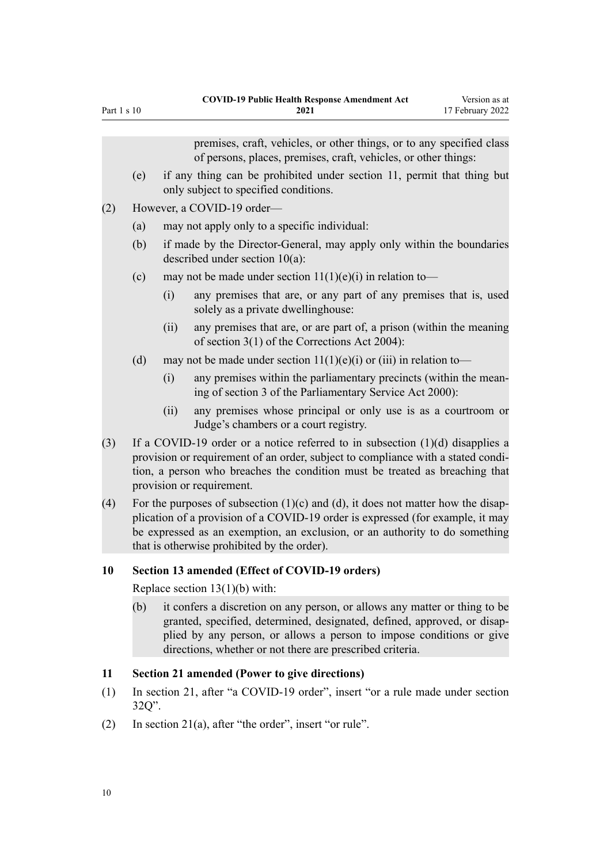|     |                                                                                                                                                                                                                                                                                                       |      | premises, craft, vehicles, or other things, or to any specified class<br>of persons, places, premises, craft, vehicles, or other things:                                                                                                                                        |  |  |
|-----|-------------------------------------------------------------------------------------------------------------------------------------------------------------------------------------------------------------------------------------------------------------------------------------------------------|------|---------------------------------------------------------------------------------------------------------------------------------------------------------------------------------------------------------------------------------------------------------------------------------|--|--|
|     | (e)                                                                                                                                                                                                                                                                                                   |      | if any thing can be prohibited under section 11, permit that thing but<br>only subject to specified conditions.                                                                                                                                                                 |  |  |
| (2) | However, a COVID-19 order-                                                                                                                                                                                                                                                                            |      |                                                                                                                                                                                                                                                                                 |  |  |
|     | (a)<br>may not apply only to a specific individual:                                                                                                                                                                                                                                                   |      |                                                                                                                                                                                                                                                                                 |  |  |
|     | (b)                                                                                                                                                                                                                                                                                                   |      | if made by the Director-General, may apply only within the boundaries<br>described under section $10(a)$ :                                                                                                                                                                      |  |  |
|     | (c)                                                                                                                                                                                                                                                                                                   |      | may not be made under section $11(1)(e)(i)$ in relation to-                                                                                                                                                                                                                     |  |  |
|     |                                                                                                                                                                                                                                                                                                       | (i)  | any premises that are, or any part of any premises that is, used<br>solely as a private dwellinghouse:                                                                                                                                                                          |  |  |
|     |                                                                                                                                                                                                                                                                                                       | (ii) | any premises that are, or are part of, a prison (within the meaning<br>of section $3(1)$ of the Corrections Act 2004):                                                                                                                                                          |  |  |
|     | (d)                                                                                                                                                                                                                                                                                                   |      | may not be made under section $11(1)(e)(i)$ or (iii) in relation to-                                                                                                                                                                                                            |  |  |
|     |                                                                                                                                                                                                                                                                                                       | (i)  | any premises within the parliamentary precincts (within the mean-<br>ing of section 3 of the Parliamentary Service Act 2000):                                                                                                                                                   |  |  |
|     |                                                                                                                                                                                                                                                                                                       | (ii) | any premises whose principal or only use is as a courtroom or<br>Judge's chambers or a court registry.                                                                                                                                                                          |  |  |
| (3) |                                                                                                                                                                                                                                                                                                       |      | If a COVID-19 order or a notice referred to in subsection $(1)(d)$ disapplies a<br>provision or requirement of an order, subject to compliance with a stated condi-<br>tion, a person who breaches the condition must be treated as breaching that<br>provision or requirement. |  |  |
| (4) | For the purposes of subsection $(1)(c)$ and $(d)$ , it does not matter how the disap-<br>plication of a provision of a COVID-19 order is expressed (for example, it may<br>be expressed as an exemption, an exclusion, or an authority to do something<br>that is otherwise prohibited by the order). |      |                                                                                                                                                                                                                                                                                 |  |  |
| 10  |                                                                                                                                                                                                                                                                                                       |      | Section 13 amended (Effect of COVID-19 orders)                                                                                                                                                                                                                                  |  |  |
|     | Replace section $13(1)(b)$ with:                                                                                                                                                                                                                                                                      |      |                                                                                                                                                                                                                                                                                 |  |  |
|     | it confers a discretion on any person, or allows any matter or thing to be<br>(b)<br>granted, specified, determined, designated, defined, approved, or disap-<br>plied by any person, or allows a person to impose conditions or give<br>directions, whether or not there are prescribed criteria.    |      |                                                                                                                                                                                                                                                                                 |  |  |
| 11  |                                                                                                                                                                                                                                                                                                       |      | <b>Section 21 amended (Power to give directions)</b>                                                                                                                                                                                                                            |  |  |
| (1) | $32Q$ ".                                                                                                                                                                                                                                                                                              |      | In section 21, after "a COVID-19 order", insert "or a rule made under section                                                                                                                                                                                                   |  |  |
| (2) |                                                                                                                                                                                                                                                                                                       |      | In section $21(a)$ , after "the order", insert "or rule".                                                                                                                                                                                                                       |  |  |

<span id="page-9-0"></span>Part 1 s 10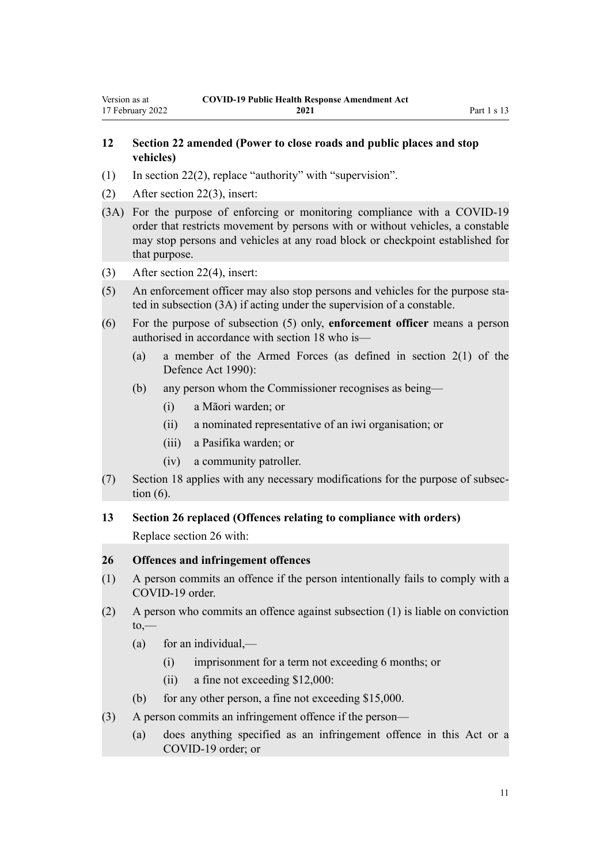# <span id="page-10-0"></span>**12 Section 22 amended (Power to close roads and public places and stop**

- (1) In [section 22\(2\)](http://legislation.govt.nz/pdflink.aspx?id=LMS344196), replace "authority" with "supervision".
- (2) After [section 22\(3\),](http://legislation.govt.nz/pdflink.aspx?id=LMS344196) insert:

**vehicles)**

- (3A) For the purpose of enforcing or monitoring compliance with a COVID-19 order that restricts movement by persons with or without vehicles, a constable may stop persons and vehicles at any road block or checkpoint established for that purpose.
- (3) After [section 22\(4\),](http://legislation.govt.nz/pdflink.aspx?id=LMS344196) insert:
- (5) An enforcement officer may also stop persons and vehicles for the purpose sta‐ ted in subsection (3A) if acting under the supervision of a constable.
- (6) For the purpose of subsection (5) only, **enforcement officer** means a person authorised in accordance with section 18 who is—
	- (a) a member of the Armed Forces (as defined in section 2(1) of the Defence Act 1990):
	- (b) any person whom the Commissioner recognises as being—
		- (i) a Māori warden; or
		- (ii) a nominated representative of an iwi organisation; or
		- (iii) a Pasifika warden; or
		- (iv) a community patroller.
- (7) Section 18 applies with any necessary modifications for the purpose of subsec‐ tion (6).
- **13 Section 26 replaced (Offences relating to compliance with orders)**

Replace [section 26](http://legislation.govt.nz/pdflink.aspx?id=LMS344200) with:

#### **26 Offences and infringement offences**

- (1) A person commits an offence if the person intentionally fails to comply with a COVID-19 order.
- (2) A person who commits an offence against subsection (1) is liable on conviction  $to,$ 
	- $(a)$  for an individual,—
		- (i) imprisonment for a term not exceeding 6 months; or
		- (ii) a fine not exceeding \$12,000:
	- (b) for any other person, a fine not exceeding \$15,000.
- (3) A person commits an infringement offence if the person—
	- (a) does anything specified as an infringement offence in this Act or a COVID-19 order; or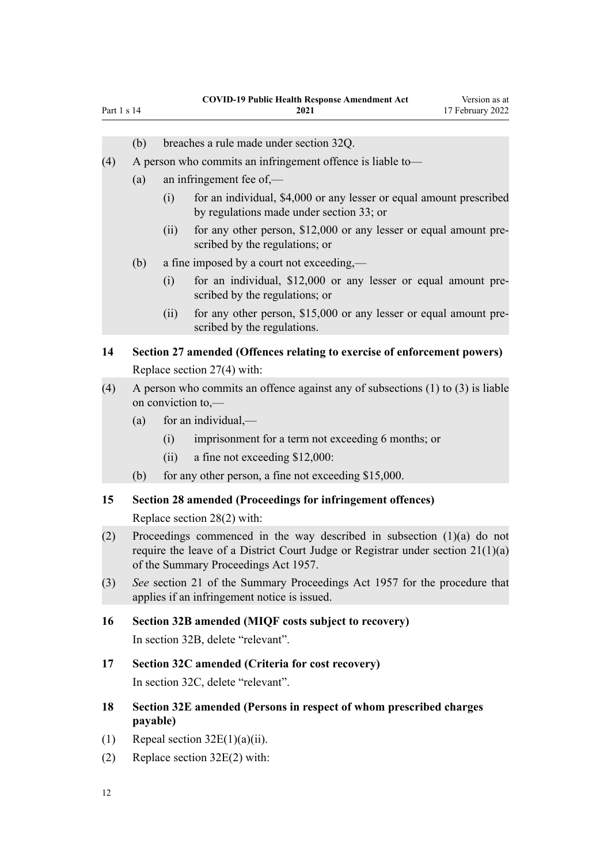- (b) breaches a rule made under section 32Q.
- (4) A person who commits an infringement offence is liable to—
	- (a) an infringement fee of,—

<span id="page-11-0"></span>Part 1 s 14

- (i) for an individual, \$4,000 or any lesser or equal amount prescribed by regulations made under section 33; or
- (ii) for any other person, \$12,000 or any lesser or equal amount prescribed by the regulations; or
- (b) a fine imposed by a court not exceeding,—
	- (i) for an individual, \$12,000 or any lesser or equal amount pre‐ scribed by the regulations; or
	- (ii) for any other person, \$15,000 or any lesser or equal amount prescribed by the regulations.

# **14 Section 27 amended (Offences relating to exercise of enforcement powers)** Replace [section 27\(4\)](http://legislation.govt.nz/pdflink.aspx?id=LMS344201) with:

- (4) A person who commits an offence against any of subsections (1) to (3) is liable on conviction to,—
	- $(a)$  for an individual,—
		- (i) imprisonment for a term not exceeding 6 months; or
		- (ii) a fine not exceeding \$12,000:
	- (b) for any other person, a fine not exceeding \$15,000.

#### **15 Section 28 amended (Proceedings for infringement offences)**

Replace [section 28\(2\)](http://legislation.govt.nz/pdflink.aspx?id=LMS344203) with:

- (2) Proceedings commenced in the way described in subsection (1)(a) do not require the leave of a District Court Judge or Registrar under section 21(1)(a) of the Summary Proceedings Act 1957.
- (3) *See* section 21 of the Summary Proceedings Act 1957 for the procedure that applies if an infringement notice is issued.
- **16 Section 32B amended (MIQF costs subject to recovery)**

In [section 32B](http://legislation.govt.nz/pdflink.aspx?id=LMS390403), delete "relevant".

**17 Section 32C amended (Criteria for cost recovery)**

In [section 32C](http://legislation.govt.nz/pdflink.aspx?id=LMS390404), delete "relevant".

- **18 Section 32E amended (Persons in respect of whom prescribed charges payable)**
- (1) Repeal section  $32E(1)(a)(ii)$ .
- (2) Replace [section 32E\(2\)](http://legislation.govt.nz/pdflink.aspx?id=LMS390407) with: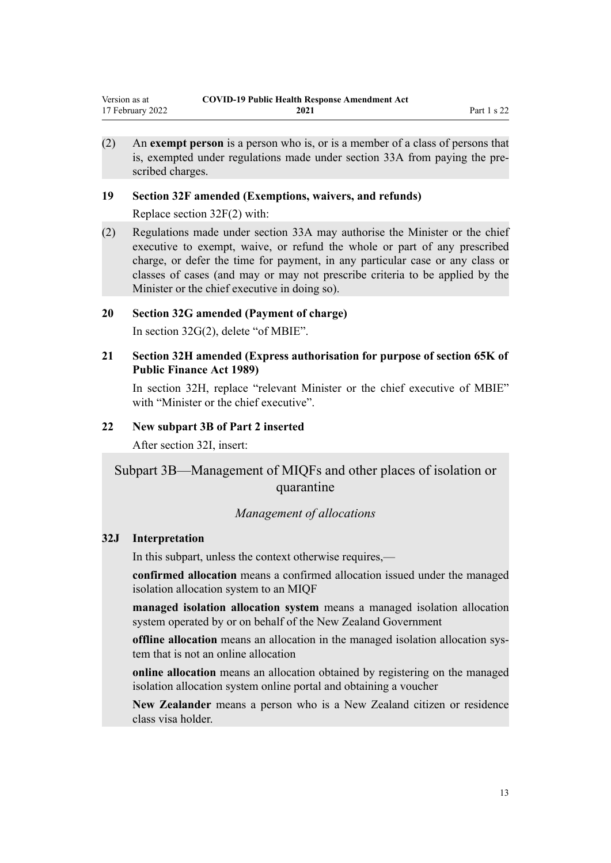<span id="page-12-0"></span>(2) An **exempt person** is a person who is, or is a member of a class of persons that is, exempted under regulations made under section 33A from paying the prescribed charges.

## **19 Section 32F amended (Exemptions, waivers, and refunds)**

Replace [section 32F\(2\)](http://legislation.govt.nz/pdflink.aspx?id=LMS390408) with:

(2) Regulations made under section 33A may authorise the Minister or the chief executive to exempt, waive, or refund the whole or part of any prescribed charge, or defer the time for payment, in any particular case or any class or classes of cases (and may or may not prescribe criteria to be applied by the Minister or the chief executive in doing so).

## **20 Section 32G amended (Payment of charge)**

In [section 32G\(2\)](http://legislation.govt.nz/pdflink.aspx?id=LMS390409), delete "of MBIE".

**21 Section 32H amended (Express authorisation for purpose of section 65K of Public Finance Act 1989)**

In [section 32H,](http://legislation.govt.nz/pdflink.aspx?id=LMS390410) replace "relevant Minister or the chief executive of MBIE" with "Minister or the chief executive".

## **22 New subpart 3B of Part 2 inserted**

After [section 32I](http://legislation.govt.nz/pdflink.aspx?id=LMS390411), insert:

# Subpart 3B—Management of MIQFs and other places of isolation or quarantine

#### *Management of allocations*

#### **32J Interpretation**

In this subpart, unless the context otherwise requires,—

**confirmed allocation** means a confirmed allocation issued under the managed isolation allocation system to an MIQF

**managed isolation allocation system** means a managed isolation allocation system operated by or on behalf of the New Zealand Government

**offline allocation** means an allocation in the managed isolation allocation sys‐ tem that is not an online allocation

**online allocation** means an allocation obtained by registering on the managed isolation allocation system online portal and obtaining a voucher

**New Zealander** means a person who is a New Zealand citizen or residence class visa holder.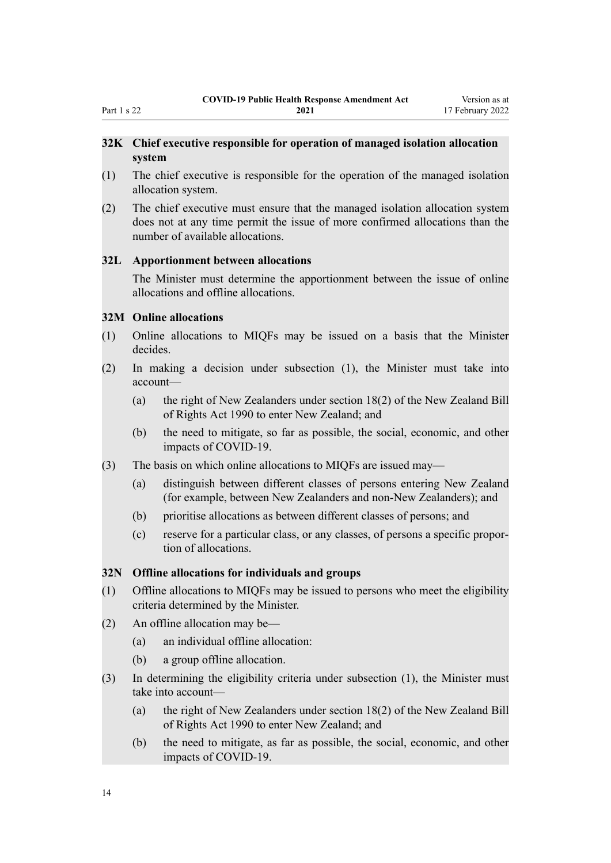## <span id="page-13-0"></span>**32K Chief executive responsible for operation of managed isolation allocation system**

- (1) The chief executive is responsible for the operation of the managed isolation allocation system.
- (2) The chief executive must ensure that the managed isolation allocation system does not at any time permit the issue of more confirmed allocations than the number of available allocations.

#### **32L Apportionment between allocations**

The Minister must determine the apportionment between the issue of online allocations and offline allocations.

#### **32M Online allocations**

- (1) Online allocations to MIQFs may be issued on a basis that the Minister decides.
- (2) In making a decision under subsection (1), the Minister must take into account—
	- (a) the right of New Zealanders under section 18(2) of the New Zealand Bill of Rights Act 1990 to enter New Zealand; and
	- (b) the need to mitigate, so far as possible, the social, economic, and other impacts of COVID-19.
- (3) The basis on which online allocations to MIQFs are issued may—
	- (a) distinguish between different classes of persons entering New Zealand (for example, between New Zealanders and non-New Zealanders); and
	- (b) prioritise allocations as between different classes of persons; and
	- (c) reserve for a particular class, or any classes, of persons a specific propor‐ tion of allocations.

#### **32N Offline allocations for individuals and groups**

- (1) Offline allocations to MIQFs may be issued to persons who meet the eligibility criteria determined by the Minister.
- (2) An offline allocation may be—
	- (a) an individual offline allocation:
	- (b) a group offline allocation.
- (3) In determining the eligibility criteria under subsection (1), the Minister must take into account—
	- (a) the right of New Zealanders under section 18(2) of the New Zealand Bill of Rights Act 1990 to enter New Zealand; and
	- (b) the need to mitigate, as far as possible, the social, economic, and other impacts of COVID-19.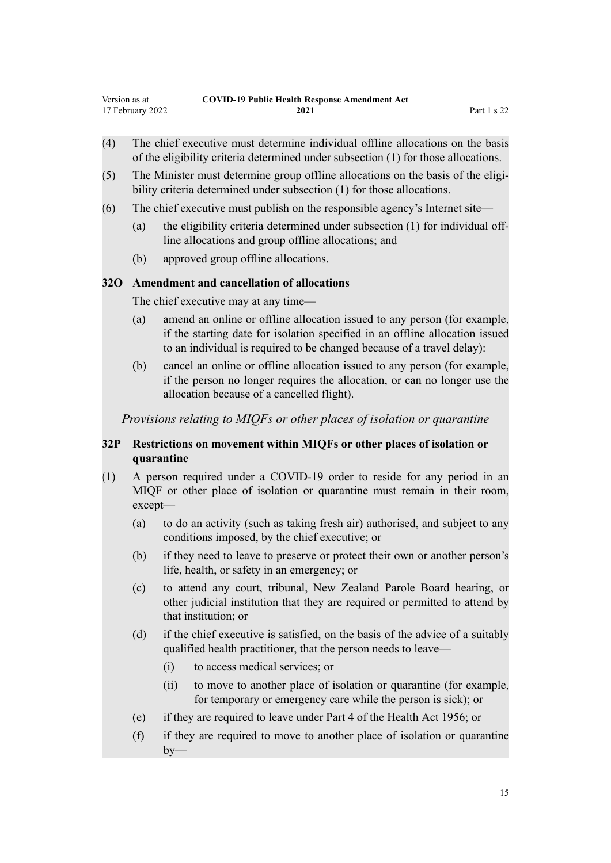- <span id="page-14-0"></span>(4) The chief executive must determine individual offline allocations on the basis of the eligibility criteria determined under subsection (1) for those allocations.
- $(5)$  The Minister must determine group offline allocations on the basis of the eligibility criteria determined under subsection (1) for those allocations.
- (6) The chief executive must publish on the responsible agency's Internet site—
	- (a) the eligibility criteria determined under subsection  $(1)$  for individual offline allocations and group offline allocations; and
	- (b) approved group offline allocations.

## **32O Amendment and cancellation of allocations**

The chief executive may at any time—

- (a) amend an online or offline allocation issued to any person (for example, if the starting date for isolation specified in an offline allocation issued to an individual is required to be changed because of a travel delay):
- (b) cancel an online or offline allocation issued to any person (for example, if the person no longer requires the allocation, or can no longer use the allocation because of a cancelled flight).

*Provisions relating to MIQFs or other places of isolation or quarantine*

## **32P Restrictions on movement within MIQFs or other places of isolation or quarantine**

- (1) A person required under a COVID-19 order to reside for any period in an MIQF or other place of isolation or quarantine must remain in their room, except—
	- (a) to do an activity (such as taking fresh air) authorised, and subject to any conditions imposed, by the chief executive; or
	- (b) if they need to leave to preserve or protect their own or another person's life, health, or safety in an emergency; or
	- (c) to attend any court, tribunal, New Zealand Parole Board hearing, or other judicial institution that they are required or permitted to attend by that institution; or
	- (d) if the chief executive is satisfied, on the basis of the advice of a suitably qualified health practitioner, that the person needs to leave—
		- (i) to access medical services; or
		- (ii) to move to another place of isolation or quarantine (for example, for temporary or emergency care while the person is sick); or
	- (e) if they are required to leave under Part 4 of the Health Act 1956; or
	- (f) if they are required to move to another place of isolation or quarantine  $by-$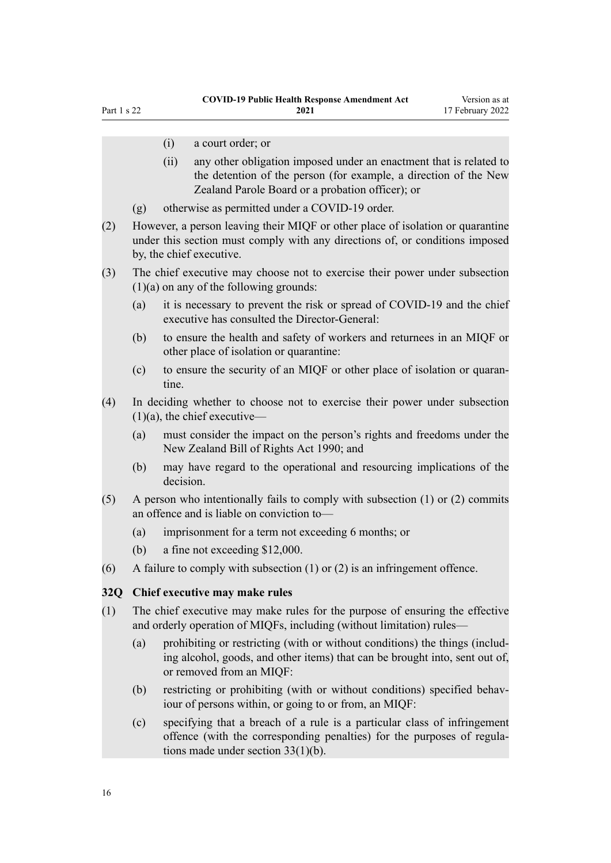- <span id="page-15-0"></span>(i) a court order; or
- (ii) any other obligation imposed under an enactment that is related to the detention of the person (for example, a direction of the New Zealand Parole Board or a probation officer); or
- (g) otherwise as permitted under a COVID-19 order.
- (2) However, a person leaving their MIQF or other place of isolation or quarantine under this section must comply with any directions of, or conditions imposed by, the chief executive.
- (3) The chief executive may choose not to exercise their power under subsection (1)(a) on any of the following grounds:
	- (a) it is necessary to prevent the risk or spread of COVID-19 and the chief executive has consulted the Director-General:
	- (b) to ensure the health and safety of workers and returnees in an MIQF or other place of isolation or quarantine:
	- (c) to ensure the security of an MIQF or other place of isolation or quaran‐ tine.
- (4) In deciding whether to choose not to exercise their power under subsection  $(1)(a)$ , the chief executive—
	- (a) must consider the impact on the person's rights and freedoms under the New Zealand Bill of Rights Act 1990; and
	- (b) may have regard to the operational and resourcing implications of the decision.
- $(5)$  A person who intentionally fails to comply with subsection  $(1)$  or  $(2)$  commits an offence and is liable on conviction to—
	- (a) imprisonment for a term not exceeding 6 months; or
	- (b) a fine not exceeding \$12,000.
- (6) A failure to comply with subsection  $(1)$  or  $(2)$  is an infringement offence.

## **32Q Chief executive may make rules**

- (1) The chief executive may make rules for the purpose of ensuring the effective and orderly operation of MIQFs, including (without limitation) rules—
	- (a) prohibiting or restricting (with or without conditions) the things (includ‐ ing alcohol, goods, and other items) that can be brought into, sent out of, or removed from an MIQF:
	- (b) restricting or prohibiting (with or without conditions) specified behaviour of persons within, or going to or from, an MIQF:
	- (c) specifying that a breach of a rule is a particular class of infringement offence (with the corresponding penalties) for the purposes of regula‐ tions made under section 33(1)(b).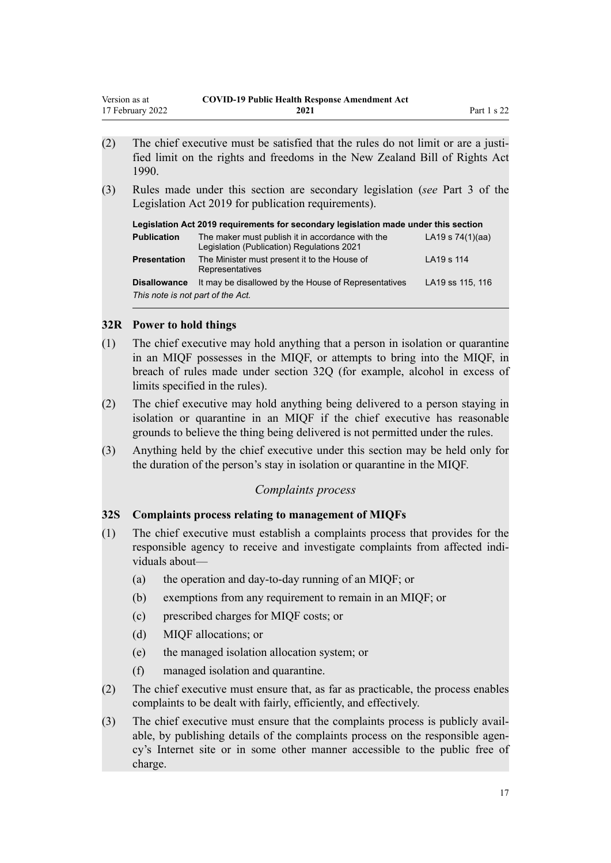<span id="page-16-0"></span>

| Version as at    | <b>COVID-19 Public Health Response Amendment Act</b> |             |
|------------------|------------------------------------------------------|-------------|
| 17 February 2022 | 2021                                                 | Part 1 s 22 |

- $(2)$  The chief executive must be satisfied that the rules do not limit or are a justified limit on the rights and freedoms in the New Zealand Bill of Rights Act 1990.
- (3) Rules made under this section are secondary legislation (*see* Part 3 of the Legislation Act 2019 for publication requirements).

| Legislation Act 2019 requirements for secondary legislation made under this section |                                                                                                |                    |  |
|-------------------------------------------------------------------------------------|------------------------------------------------------------------------------------------------|--------------------|--|
| <b>Publication</b>                                                                  | The maker must publish it in accordance with the<br>Legislation (Publication) Regulations 2021 | LA19 s $74(1)(aa)$ |  |
| <b>Presentation</b>                                                                 | The Minister must present it to the House of<br>Representatives                                | LA19 s 114         |  |
| <b>Disallowance</b><br>This note is not part of the Act.                            | It may be disallowed by the House of Representatives                                           | LA19 ss 115, 116   |  |

#### **32R Power to hold things**

- (1) The chief executive may hold anything that a person in isolation or quarantine in an MIQF possesses in the MIQF, or attempts to bring into the MIQF, in breach of rules made under section 32Q (for example, alcohol in excess of limits specified in the rules).
- (2) The chief executive may hold anything being delivered to a person staying in isolation or quarantine in an MIQF if the chief executive has reasonable grounds to believe the thing being delivered is not permitted under the rules.
- (3) Anything held by the chief executive under this section may be held only for the duration of the person's stay in isolation or quarantine in the MIQF.

## *Complaints process*

## **32S Complaints process relating to management of MIQFs**

- (1) The chief executive must establish a complaints process that provides for the responsible agency to receive and investigate complaints from affected individuals about—
	- (a) the operation and day-to-day running of an MIQF; or
	- (b) exemptions from any requirement to remain in an MIQF; or
	- (c) prescribed charges for MIQF costs; or
	- (d) MIQF allocations; or
	- (e) the managed isolation allocation system; or
	- (f) managed isolation and quarantine.
- (2) The chief executive must ensure that, as far as practicable, the process enables complaints to be dealt with fairly, efficiently, and effectively.
- (3) The chief executive must ensure that the complaints process is publicly avail‐ able, by publishing details of the complaints process on the responsible agency's Internet site or in some other manner accessible to the public free of charge.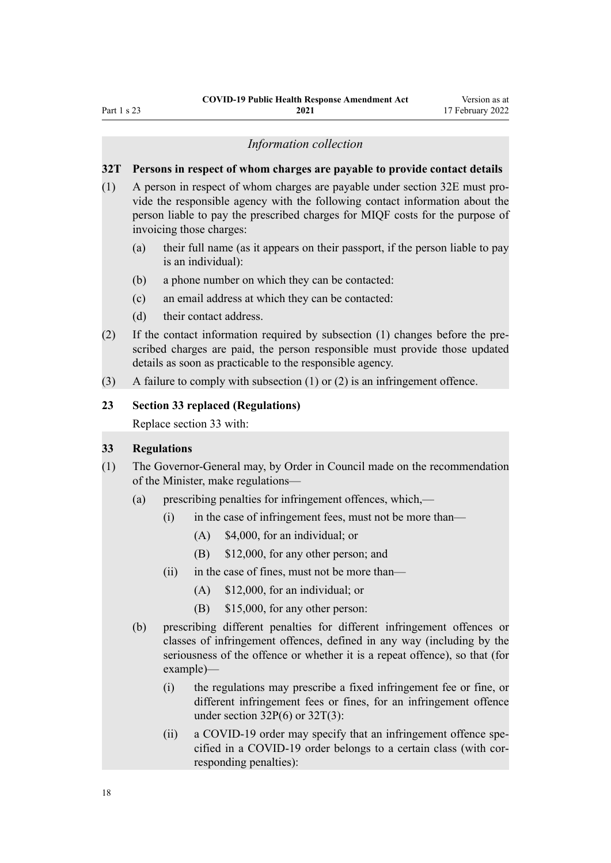## <span id="page-17-0"></span>Part 1 s 23

#### *Information collection*

#### **32T Persons in respect of whom charges are payable to provide contact details**

- (1) A person in respect of whom charges are payable under section 32E must pro‐ vide the responsible agency with the following contact information about the person liable to pay the prescribed charges for MIQF costs for the purpose of invoicing those charges:
	- (a) their full name (as it appears on their passport, if the person liable to pay is an individual):
	- (b) a phone number on which they can be contacted:
	- (c) an email address at which they can be contacted:
	- (d) their contact address.
- (2) If the contact information required by subsection (1) changes before the pre‐ scribed charges are paid, the person responsible must provide those updated details as soon as practicable to the responsible agency.
- (3) A failure to comply with subsection (1) or (2) is an infringement offence.

#### **23 Section 33 replaced (Regulations)**

Replace [section 33](http://legislation.govt.nz/pdflink.aspx?id=LMS344209) with:

#### **33 Regulations**

- (1) The Governor-General may, by Order in Council made on the recommendation of the Minister, make regulations—
	- (a) prescribing penalties for infringement offences, which,—
		- (i) in the case of infringement fees, must not be more than—
			- (A) \$4,000, for an individual; or
			- (B) \$12,000, for any other person; and
		- (ii) in the case of fines, must not be more than—
			- (A) \$12,000, for an individual; or
			- (B) \$15,000, for any other person:
	- (b) prescribing different penalties for different infringement offences or classes of infringement offences, defined in any way (including by the seriousness of the offence or whether it is a repeat offence), so that (for example)—
		- (i) the regulations may prescribe a fixed infringement fee or fine, or different infringement fees or fines, for an infringement offence under section 32P(6) or 32T(3):
		- (ii) a COVID-19 order may specify that an infringement offence specified in a COVID-19 order belongs to a certain class (with cor‐ responding penalties):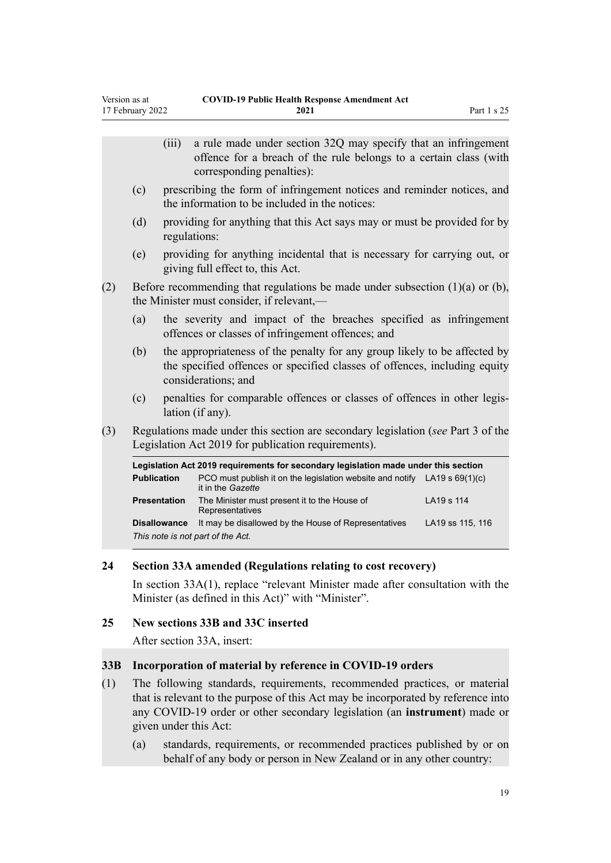<span id="page-18-0"></span>

|     |                    | (iii)               | a rule made under section 32Q may specify that an infringement<br>offence for a breach of the rule belongs to a certain class (with<br>corresponding penalties):              |                  |
|-----|--------------------|---------------------|-------------------------------------------------------------------------------------------------------------------------------------------------------------------------------|------------------|
|     | (c)                |                     | prescribing the form of infringement notices and reminder notices, and<br>the information to be included in the notices:                                                      |                  |
|     | (d)                | regulations:        | providing for anything that this Act says may or must be provided for by                                                                                                      |                  |
|     | (e)                |                     | providing for anything incidental that is necessary for carrying out, or<br>giving full effect to, this Act.                                                                  |                  |
| (2) |                    |                     | Before recommending that regulations be made under subsection $(1)(a)$ or $(b)$ ,<br>the Minister must consider, if relevant,—                                                |                  |
|     | (a)                |                     | the severity and impact of the breaches specified as infringement<br>offences or classes of infringement offences; and                                                        |                  |
|     | (b)                |                     | the appropriateness of the penalty for any group likely to be affected by<br>the specified offences or specified classes of offences, including equity<br>considerations; and |                  |
|     | (c)                |                     | penalties for comparable offences or classes of offences in other legis-<br>lation (if any).                                                                                  |                  |
| (3) |                    |                     | Regulations made under this section are secondary legislation (see Part 3 of the<br>Legislation Act 2019 for publication requirements).                                       |                  |
|     |                    |                     | Legislation Act 2019 requirements for secondary legislation made under this section                                                                                           |                  |
|     | <b>Publication</b> |                     | PCO must publish it on the legislation website and notify LA19 s 69(1)(c)<br>it in the Gazette                                                                                |                  |
|     |                    | <b>Presentation</b> | The Minister must present it to the House of<br>Representatives                                                                                                               | LA19 s 114       |
|     |                    | <b>Disallowance</b> | It may be disallowed by the House of Representatives<br>This note is not part of the Act.                                                                                     | LA19 ss 115, 116 |

#### **24 Section 33A amended (Regulations relating to cost recovery)**

In [section 33A\(1\)](http://legislation.govt.nz/pdflink.aspx?id=LMS390448), replace "relevant Minister made after consultation with the Minister (as defined in this Act)" with "Minister".

#### **25 New sections 33B and 33C inserted**

After [section 33A,](http://legislation.govt.nz/pdflink.aspx?id=LMS390448) insert:

#### **33B Incorporation of material by reference in COVID-19 orders**

- (1) The following standards, requirements, recommended practices, or material that is relevant to the purpose of this Act may be incorporated by reference into any COVID-19 order or other secondary legislation (an **instrument**) made or given under this Act:
	- (a) standards, requirements, or recommended practices published by or on behalf of any body or person in New Zealand or in any other country: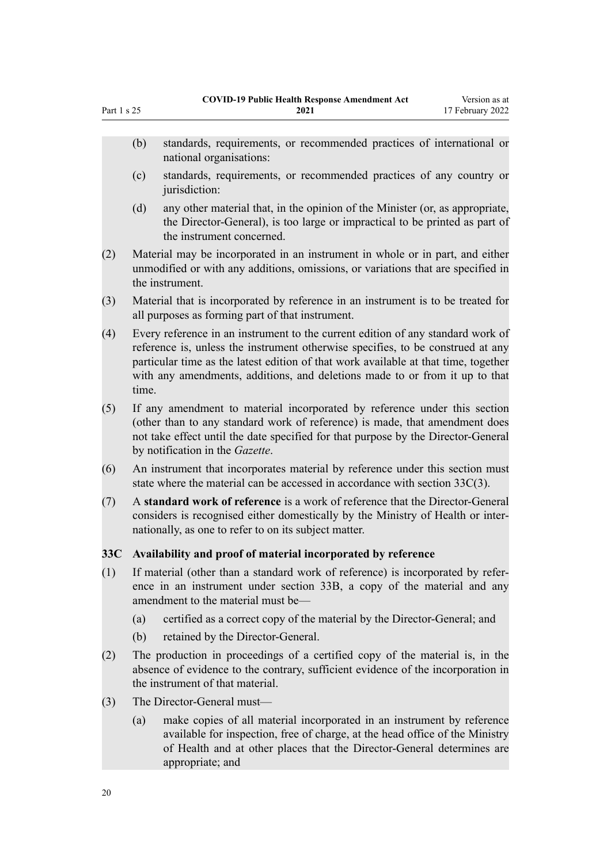- <span id="page-19-0"></span>(b) standards, requirements, or recommended practices of international or national organisations:
- (c) standards, requirements, or recommended practices of any country or jurisdiction:
- (d) any other material that, in the opinion of the Minister (or, as appropriate, the Director-General), is too large or impractical to be printed as part of the instrument concerned.
- (2) Material may be incorporated in an instrument in whole or in part, and either unmodified or with any additions, omissions, or variations that are specified in the instrument.
- (3) Material that is incorporated by reference in an instrument is to be treated for all purposes as forming part of that instrument.
- (4) Every reference in an instrument to the current edition of any standard work of reference is, unless the instrument otherwise specifies, to be construed at any particular time as the latest edition of that work available at that time, together with any amendments, additions, and deletions made to or from it up to that time.
- (5) If any amendment to material incorporated by reference under this section (other than to any standard work of reference) is made, that amendment does not take effect until the date specified for that purpose by the Director-General by notification in the *Gazette*.
- (6) An instrument that incorporates material by reference under this section must state where the material can be accessed in accordance with section 33C(3).
- (7) A **standard work of reference** is a work of reference that the Director-General considers is recognised either domestically by the Ministry of Health or inter‐ nationally, as one to refer to on its subject matter.

## **33C Availability and proof of material incorporated by reference**

- (1) If material (other than a standard work of reference) is incorporated by refer‐ ence in an instrument under section 33B, a copy of the material and any amendment to the material must be—
	- (a) certified as a correct copy of the material by the Director-General; and
	- (b) retained by the Director-General.
- (2) The production in proceedings of a certified copy of the material is, in the absence of evidence to the contrary, sufficient evidence of the incorporation in the instrument of that material.
- (3) The Director-General must—
	- (a) make copies of all material incorporated in an instrument by reference available for inspection, free of charge, at the head office of the Ministry of Health and at other places that the Director-General determines are appropriate; and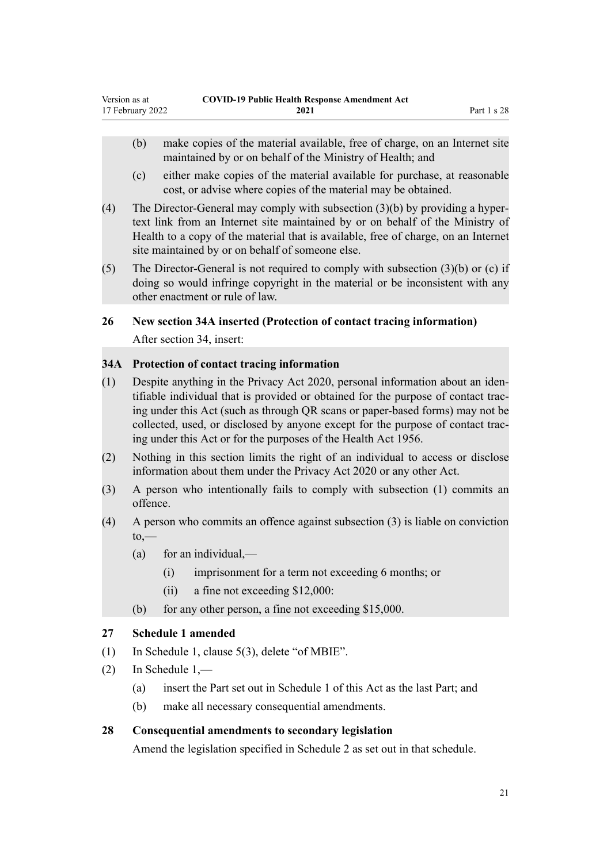- <span id="page-20-0"></span>(b) make copies of the material available, free of charge, on an Internet site maintained by or on behalf of the Ministry of Health; and
- (c) either make copies of the material available for purchase, at reasonable cost, or advise where copies of the material may be obtained.
- (4) The Director-General may comply with subsection  $(3)(b)$  by providing a hypertext link from an Internet site maintained by or on behalf of the Ministry of Health to a copy of the material that is available, free of charge, on an Internet site maintained by or on behalf of someone else.
- (5) The Director-General is not required to comply with subsection (3)(b) or (c) if doing so would infringe copyright in the material or be inconsistent with any other enactment or rule of law.

## **26 New section 34A inserted (Protection of contact tracing information)**

After [section 34](http://legislation.govt.nz/pdflink.aspx?id=LMS344210), insert:

## **34A Protection of contact tracing information**

- (1) Despite anything in the Privacy Act 2020, personal information about an iden‐ tifiable individual that is provided or obtained for the purpose of contact trac‐ ing under this Act (such as through QR scans or paper-based forms) may not be collected, used, or disclosed by anyone except for the purpose of contact trac‐ ing under this Act or for the purposes of the Health Act 1956.
- (2) Nothing in this section limits the right of an individual to access or disclose information about them under the Privacy Act 2020 or any other Act.
- (3) A person who intentionally fails to comply with subsection (1) commits an offence.
- (4) A person who commits an offence against subsection (3) is liable on conviction  $to -$ 
	- (a) for an individual,—
		- (i) imprisonment for a term not exceeding 6 months; or
		- (ii) a fine not exceeding \$12,000:
	- (b) for any other person, a fine not exceeding \$15,000.

## **27 Schedule 1 amended**

- (1) In Schedule 1, [clause 5\(3\),](http://legislation.govt.nz/pdflink.aspx?id=LMS499048) delete "of MBIE".
- (2) In [Schedule 1](http://legislation.govt.nz/pdflink.aspx?id=LMS344228),—
	- (a) insert the Part set out in [Schedule 1](#page-22-0) of this Act as the last Part; and
	- (b) make all necessary consequential amendments.

## **28 Consequential amendments to secondary legislation**

Amend the legislation specified in [Schedule 2](#page-23-0) as set out in that schedule.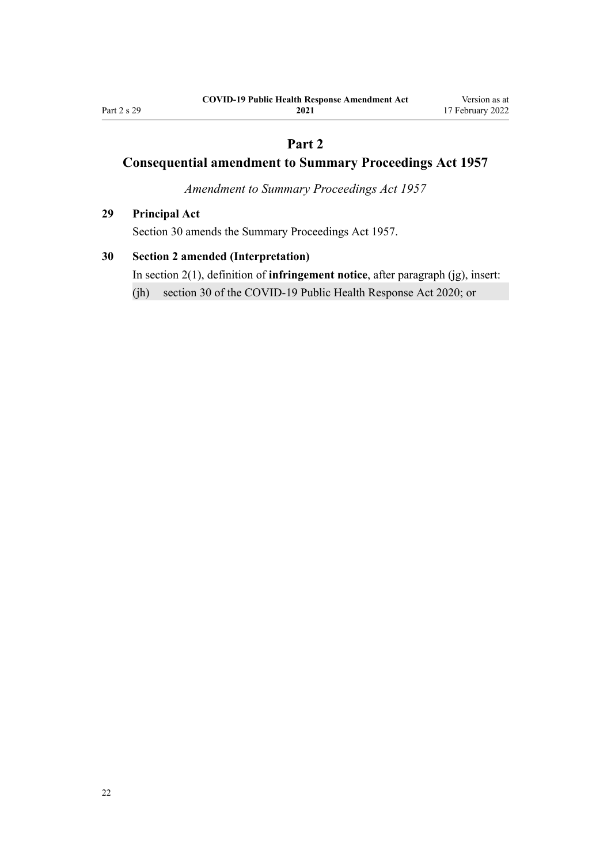# **Part 2**

# **Consequential amendment to Summary Proceedings Act 1957**

*Amendment to Summary Proceedings Act 1957*

## **29 Principal Act**

Section 30 amends the [Summary Proceedings Act 1957](http://legislation.govt.nz/pdflink.aspx?id=DLM310742).

## **30 Section 2 amended (Interpretation)**

In [section 2\(1\)](http://legislation.govt.nz/pdflink.aspx?id=DLM310749), definition of **infringement notice**, after paragraph (jg), insert:

(jh) section 30 of the COVID-19 Public Health Response Act 2020; or

<span id="page-21-0"></span>Part 2 s 29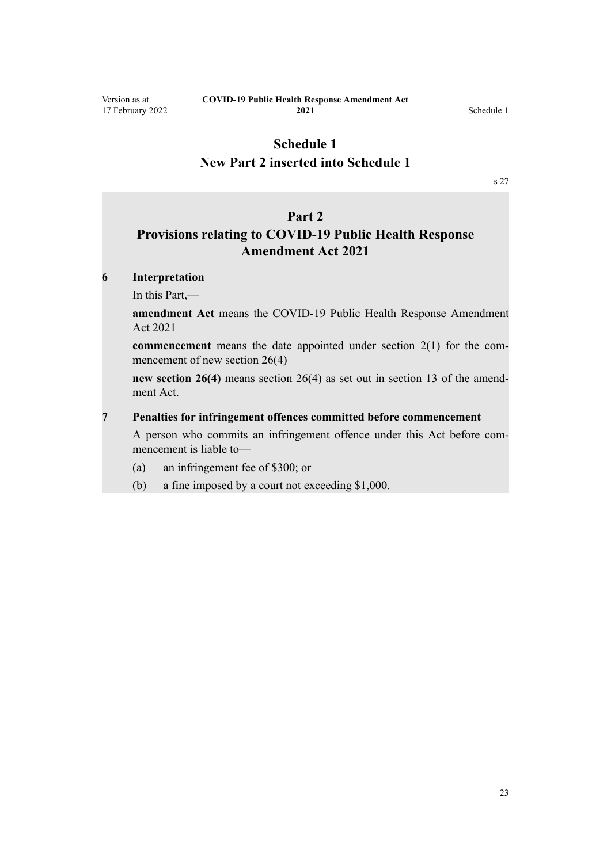# <span id="page-22-0"></span>**Schedule 1 New Part 2 inserted into Schedule 1**

[s 27](#page-20-0)

## **Part 2**

# **Provisions relating to COVID-19 Public Health Response Amendment Act 2021**

## **6 Interpretation**

In this Part,—

**amendment Act** means the COVID-19 Public Health Response Amendment Act 2021

**commencement** means the date appointed under section 2(1) for the commencement of new section 26(4)

**new section 26(4)** means section 26(4) as set out in section 13 of the amendment Act.

#### **7 Penalties for infringement offences committed before commencement**

A person who commits an infringement offence under this Act before commencement is liable to—

- (a) an infringement fee of \$300; or
- (b) a fine imposed by a court not exceeding \$1,000.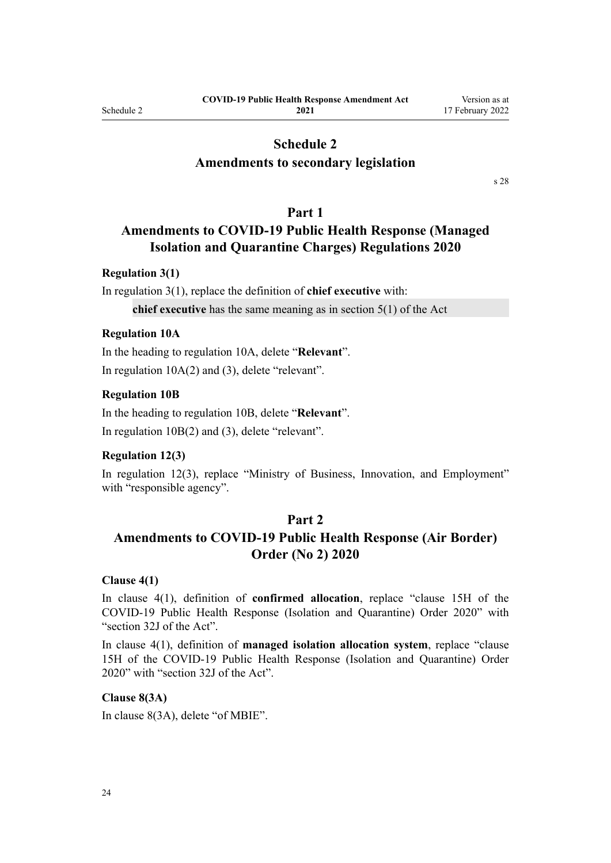## **Schedule 2**

## <span id="page-23-0"></span>**Amendments to secondary legislation**

[s 28](#page-20-0)

#### **Part 1**

# **Amendments to COVID-19 Public Health Response (Managed Isolation and Quarantine Charges) Regulations 2020**

#### **Regulation 3(1)**

In [regulation 3\(1\)](http://legislation.govt.nz/pdflink.aspx?id=LMS389340), replace the definition of **chief executive** with:

**chief executive** has the same meaning as in section 5(1) of the Act

#### **Regulation 10A**

In the heading to [regulation 10A,](http://legislation.govt.nz/pdflink.aspx?id=LMS533387) delete "**Relevant**". In [regulation 10A\(2\) and \(3\)](http://legislation.govt.nz/pdflink.aspx?id=LMS533387), delete "relevant".

#### **Regulation 10B**

In the heading to [regulation 10B](http://legislation.govt.nz/pdflink.aspx?id=LMS533395), delete "**Relevant**". In [regulation 10B\(2\) and \(3\),](http://legislation.govt.nz/pdflink.aspx?id=LMS533395) delete "relevant".

## **Regulation 12(3)**

In [regulation 12\(3\),](http://legislation.govt.nz/pdflink.aspx?id=LMS389357) replace "Ministry of Business, Innovation, and Employment" with "responsible agency".

#### **Part 2**

# **Amendments to COVID-19 Public Health Response (Air Border) Order (No 2) 2020**

## **Clause 4(1)**

In [clause 4\(1\),](http://legislation.govt.nz/pdflink.aspx?id=LMS403369) definition of **confirmed allocation**, replace "clause 15H of the COVID-19 Public Health Response (Isolation and Quarantine) Order 2020" with "section 32J of the Act".

In [clause 4\(1\),](http://legislation.govt.nz/pdflink.aspx?id=LMS403369) definition of **managed isolation allocation system**, replace "clause 15H of the COVID-19 Public Health Response (Isolation and Quarantine) Order 2020" with "section 32J of the Act".

#### **Clause 8(3A)**

In [clause 8\(3A\),](http://legislation.govt.nz/pdflink.aspx?id=LMS403374) delete "of MBIE".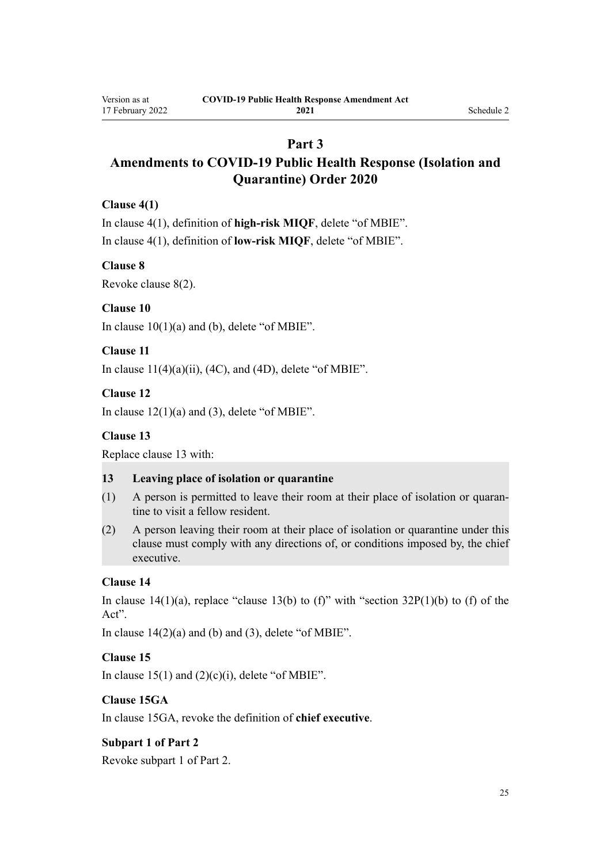# **Part 3**

# **Amendments to COVID-19 Public Health Response (Isolation and Quarantine) Order 2020**

## **Clause 4(1)**

In [clause 4\(1\)](http://legislation.govt.nz/pdflink.aspx?id=LMS401701), definition of **high-risk MIQF**, delete "of MBIE". In [clause 4\(1\)](http://legislation.govt.nz/pdflink.aspx?id=LMS401701), definition of **low-risk MIQF**, delete "of MBIE".

## **Clause 8**

Revoke [clause 8\(2\).](http://legislation.govt.nz/pdflink.aspx?id=LMS401706)

## **Clause 10**

In clause  $10(1)(a)$  and (b), delete "of MBIE".

## **Clause 11**

In clause  $11(4)(a)(ii)$ ,  $(4C)$ , and  $(4D)$ , delete "of MBIE".

## **Clause 12**

In clause  $12(1)(a)$  and (3), delete "of MBIE".

## **Clause 13**

Replace [clause 13](http://legislation.govt.nz/pdflink.aspx?id=LMS401721) with:

#### **13 Leaving place of isolation or quarantine**

- (1) A person is permitted to leave their room at their place of isolation or quaran‐ tine to visit a fellow resident.
- (2) A person leaving their room at their place of isolation or quarantine under this clause must comply with any directions of, or conditions imposed by, the chief executive.

## **Clause 14**

In [clause 14\(1\)\(a\),](http://legislation.govt.nz/pdflink.aspx?id=LMS401723) replace "clause 13(b) to (f)" with "section  $32P(1)(b)$  to (f) of the Act".

In clause  $14(2)(a)$  and (b) and (3), delete "of MBIE".

## **Clause 15**

In clause  $15(1)$  and  $(2)(c)(i)$ , delete "of MBIE".

## **Clause 15GA**

In [clause 15GA](http://legislation.govt.nz/pdflink.aspx?id=LMS585032), revoke the definition of **chief executive**.

## **Subpart 1 of Part 2**

Revoke [subpart 1](http://legislation.govt.nz/pdflink.aspx?id=LMS479127) of Part 2.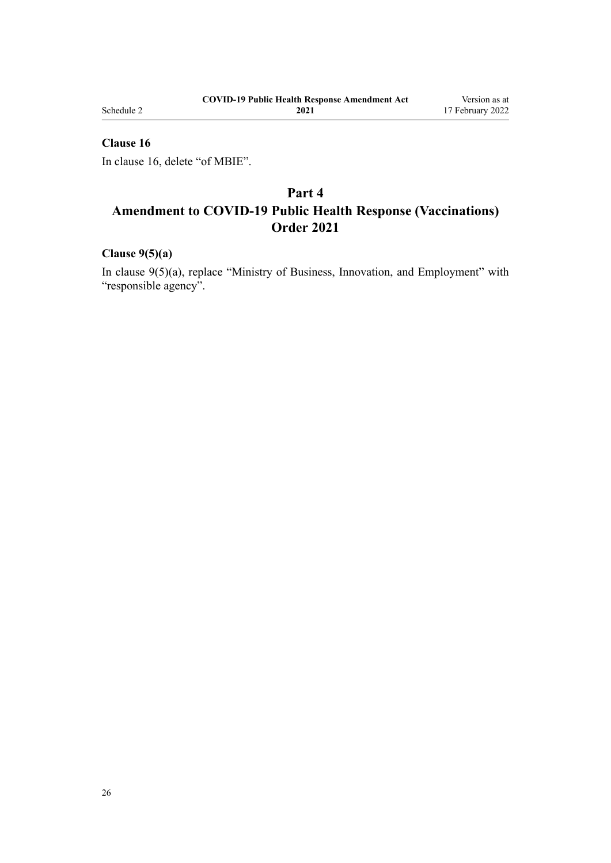Schedule 2

## **Clause 16**

In [clause 16,](http://legislation.govt.nz/pdflink.aspx?id=LMS401727) delete "of MBIE".

# **Part 4 Amendment to COVID-19 Public Health Response (Vaccinations) Order 2021**

## **Clause 9(5)(a)**

In [clause 9\(5\)\(a\)](http://legislation.govt.nz/pdflink.aspx?id=LMS487897), replace "Ministry of Business, Innovation, and Employment" with "responsible agency".